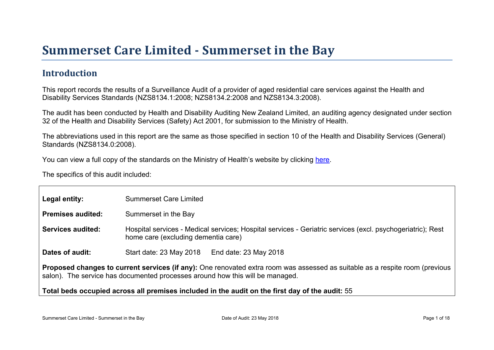### Introduction

This report records the results of a Surveillance Audit of a provider of aged residential care services against the Health and Disability Services Standards (NZS8134.1:2008; NZS8134.2:2008 and NZS8134.3:2008).

The audit has been conducted by Health and Disability Auditing New Zealand Limited, an auditing agency designated under section 32 of the Health and Disability Services (Safety) Act 2001, for submission to the Ministry of Health.

The abbreviations used in this report are the same as those specified in section 10 of the Health and Disability Services (General) Standards (NZS8134.0:2008).

You can view a full copy of the standards on the Ministry of Health's website by clicking [here.](http://www.health.govt.nz/our-work/regulation-health-and-disability-system/certification-health-care-services/health-and-disability-services-standards)

The specifics of this audit included:

| Legal entity:     | <b>Summerset Care Limited</b>                                                                                                                                                                                 |
|-------------------|---------------------------------------------------------------------------------------------------------------------------------------------------------------------------------------------------------------|
| Premises audited: | Summerset in the Bay                                                                                                                                                                                          |
| Services audited: | Hospital services - Medical services; Hospital services - Geriatric services (excl. psychogeriatric); Rest<br>home care (excluding dementia care)                                                             |
| Dates of audit:   | End date: 23 May 2018<br>Start date: 23 May 2018                                                                                                                                                              |
|                   | Proposed changes to current services (if any): One renovated extra room was assessed as suitable as a respite room (previous<br>salon). The service has documented processes around how this will be managed. |
|                   | Total beds occupied across all premises included<br>in the audit on the first day of the audit: 55                                                                                                            |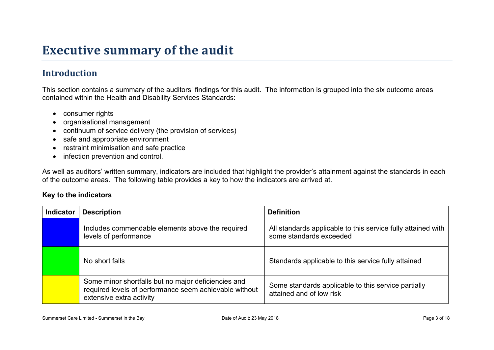## **Executive summary of the audit**

### **Introduction**

This section contains a summary of the auditors' findings for this audit. The information is grouped into the six outcome areas contained within the Health and Disability Services Standards:

- consumer rights
- organisational management
- continuum of service delivery (the provision of services)
- safe and appropriate environment
- restraint minimisation and safe practice
- infection prevention and control.

As well as auditors' written summary, indicators are included that highlight the provider's attainment against the standards in each of the outcome areas. The following table provides a key to how the indicators are arrived at.

#### **Key to the indicators**

| <b>Indicator</b> | <b>Description</b>                                                                                                                        | <b>Definition</b>                                                                       |
|------------------|-------------------------------------------------------------------------------------------------------------------------------------------|-----------------------------------------------------------------------------------------|
|                  | Includes commendable elements above the required<br>levels of performance                                                                 | All standards applicable to this service fully attained with<br>some standards exceeded |
|                  | No short falls                                                                                                                            | Standards applicable to this service fully attained                                     |
|                  | Some minor shortfalls but no major deficiencies and<br>required levels of performance seem achievable without<br>extensive extra activity | Some standards applicable to this service partially<br>attained and of low risk         |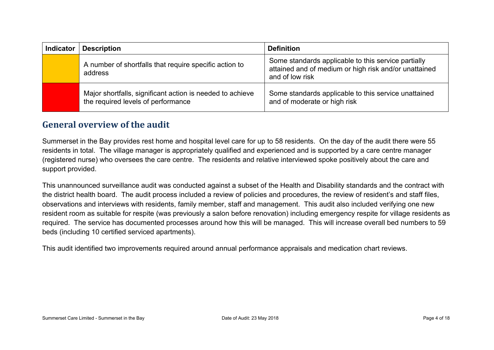| <b>Indicator</b> | <b>Description</b>                                                                              | <b>Definition</b>                                                                                                               |
|------------------|-------------------------------------------------------------------------------------------------|---------------------------------------------------------------------------------------------------------------------------------|
|                  | A number of shortfalls that require specific action to<br>address                               | Some standards applicable to this service partially<br>attained and of medium or high risk and/or unattained<br>and of low risk |
|                  | Major shortfalls, significant action is needed to achieve<br>the required levels of performance | Some standards applicable to this service unattained<br>and of moderate or high risk                                            |

#### **General overview of the audit**

Summerset in the Bay provides rest home and hospital level care for up to 58 residents. On the day of the audit there were 55 residents in total. The village manager is appropriately qualified and experienced and is supported by a care centre manager (registered nurse) who oversees the care centre. The residents and relative interviewed spoke positively about the care and support provided.

This unannounced surveillance audit was conducted against a subset of the Health and Disability standards and the contract with the district health board. The audit process included a review of policies and procedures, the review of resident's and staff files, observations and interviews with residents, family member, staff and management. This audit also included verifying one new resident room as suitable for respite (was previously a salon before renovation) including emergency respite for village residents as required. The service has documented processes around how this will be managed. This will increase overall bed numbers to 59 beds (including 10 certified serviced apartments).

This audit identified two improvements required around annual performance appraisals and medication chart reviews.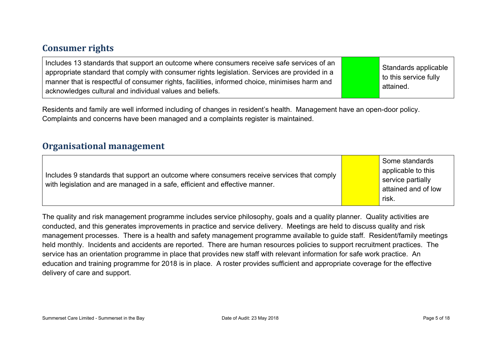#### **Consumer rights**

Residents and family are well informed including of changes in resident's health. Management have an open-door policy. Complaints and concerns have been managed and a complaints register is maintained.

#### **Organisational management**

| Includes 9 standards that support an outcome where consumers receive services that comply<br>with legislation and are managed in a safe, efficient and effective manner. | Some standards<br>applicable to this<br>service partially<br>attained and of low<br>risk. |  |
|--------------------------------------------------------------------------------------------------------------------------------------------------------------------------|-------------------------------------------------------------------------------------------|--|
|--------------------------------------------------------------------------------------------------------------------------------------------------------------------------|-------------------------------------------------------------------------------------------|--|

The quality and risk management programme includes service philosophy, goals and a quality planner. Quality activities are conducted, and this generates improvements in practice and service delivery. Meetings are held to discuss quality and risk management processes. There is a health and safety management programme available to guide staff. Resident/family meetings held monthly. Incidents and accidents are reported. There are human resources policies to support recruitment practices. The service has an orientation programme in place that provides new staff with relevant information for safe work practice. An education and training programme for 2018 is in place. A roster provides sufficient and appropriate coverage for the effective delivery of care and support.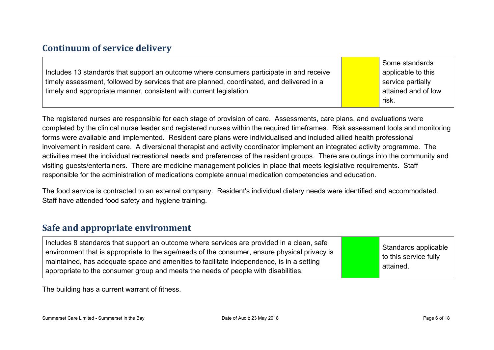#### **Continuum of service delivery**

|                                                                                           | Some standards      |
|-------------------------------------------------------------------------------------------|---------------------|
| Includes 13 standards that support an outcome where consumers participate in and receive  | applicable to this  |
| timely assessment, followed by services that are planned, coordinated, and delivered in a | service partially   |
| timely and appropriate manner, consistent with current legislation.                       | attained and of low |
|                                                                                           | risk.               |

The registered nurses are responsible for each stage of provision of care. Assessments, care plans, and evaluations were completed by the clinical nurse leader and registered nurses within the required timeframes. Risk assessment tools and monitoring forms were available and implemented. Resident care plans were individualised and included allied health professional involvement in resident care. A diversional therapist and activity coordinator implement an integrated activity programme. The activities meet the individual recreational needs and preferences of the resident groups. There are outings into the community and visiting guests/entertainers. There are medicine management policies in place that meets legislative requirements. Staff responsible for the administration of medications complete annual medication competencies and education.

The food service is contracted to an external company. Resident's individual dietary needs were identified and accommodated. Staff have attended food safety and hygiene training.

#### **Safe and appropriate environment**

| Includes 8 standards that support an outcome where services are provided in a clean, safe<br>environment that is appropriate to the age/needs of the consumer, ensure physical privacy is<br>maintained, has adequate space and amenities to facilitate independence, is in a setting<br>appropriate to the consumer group and meets the needs of people with disabilities. |  | Standards applicable<br>to this service fully<br>attained. |
|-----------------------------------------------------------------------------------------------------------------------------------------------------------------------------------------------------------------------------------------------------------------------------------------------------------------------------------------------------------------------------|--|------------------------------------------------------------|
|-----------------------------------------------------------------------------------------------------------------------------------------------------------------------------------------------------------------------------------------------------------------------------------------------------------------------------------------------------------------------------|--|------------------------------------------------------------|

The building has a current warrant of fitness.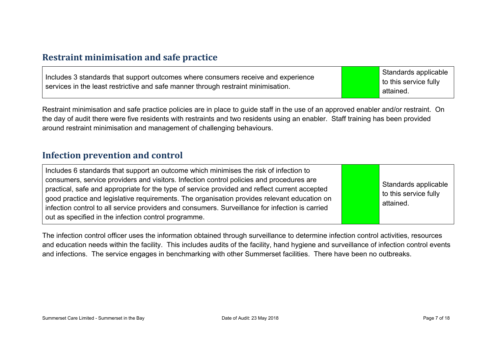#### **Restraint minimisation and safe practice**

| Includes 3 standards that support outcomes where consumers receive and experience<br>services in the least restrictive and safe manner through restraint minimisation. | Standards applicable<br>to this service fully<br>attained. |
|------------------------------------------------------------------------------------------------------------------------------------------------------------------------|------------------------------------------------------------|
|------------------------------------------------------------------------------------------------------------------------------------------------------------------------|------------------------------------------------------------|

Restraint minimisation and safe practice policies are in place to guide staff in the use of an approved enabler and/or restraint. On the day of audit there were five residents with restraints and two residents using an enabler. Staff training has been provided around restraint minimisation and management of challenging behaviours.

#### **Infection prevention and control**

| Includes 6 standards that support an outcome which minimises the risk of infection to<br>consumers, service providers and visitors. Infection control policies and procedures are<br>practical, safe and appropriate for the type of service provided and reflect current accepted<br>good practice and legislative requirements. The organisation provides relevant education on<br>infection control to all service providers and consumers. Surveillance for infection is carried<br>out as specified in the infection control programme. |  | Standards applicable<br>to this service fully<br>attained. |
|----------------------------------------------------------------------------------------------------------------------------------------------------------------------------------------------------------------------------------------------------------------------------------------------------------------------------------------------------------------------------------------------------------------------------------------------------------------------------------------------------------------------------------------------|--|------------------------------------------------------------|
|----------------------------------------------------------------------------------------------------------------------------------------------------------------------------------------------------------------------------------------------------------------------------------------------------------------------------------------------------------------------------------------------------------------------------------------------------------------------------------------------------------------------------------------------|--|------------------------------------------------------------|

The infection control officer uses the information obtained through surveillance to determine infection control activities, resources and education needs within the facility. This includes audits of the facility, hand hygiene and surveillance of infection control events and infections. The service engages in benchmarking with other Summerset facilities. There have been no outbreaks.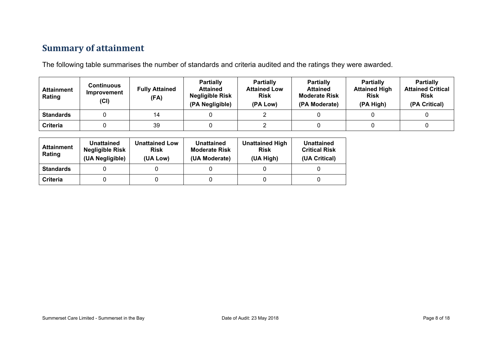### **Summary of attainment**

The following table summarises the number of standards and criteria audited and the ratings they were awarded.

| <b>Attainment</b><br>Rating | Continuous<br>Improvement<br>(Cl) | <b>Fully Attained</b><br>(FA) | <b>Partially</b><br><b>Attained</b><br><b>Negligible Risk</b><br>(PA Negligible) | <b>Partially</b><br><b>Attained Low</b><br><b>Risk</b><br>(PA Low) | <b>Partially</b><br><b>Attained</b><br><b>Moderate Risk</b><br>(PA Moderate) | <b>Partially</b><br><b>Attained High</b><br><b>Risk</b><br>(PA High) | <b>Partially</b><br><b>Attained Critical</b><br><b>Risk</b><br>(PA Critical) |
|-----------------------------|-----------------------------------|-------------------------------|----------------------------------------------------------------------------------|--------------------------------------------------------------------|------------------------------------------------------------------------------|----------------------------------------------------------------------|------------------------------------------------------------------------------|
| <b>Standards</b>            |                                   | 14                            |                                                                                  |                                                                    |                                                                              |                                                                      |                                                                              |
| Criteria                    |                                   | 39                            |                                                                                  |                                                                    |                                                                              |                                                                      |                                                                              |

| <b>Attainment</b><br>Rating | Unattained<br><b>Negligible Risk</b><br>(UA Negligible) | <b>Unattained Low</b><br><b>Risk</b><br>(UA Low) | Unattained<br><b>Moderate Risk</b><br>(UA Moderate) | <b>Unattained High</b><br><b>Risk</b><br>(UA High) | Unattained<br><b>Critical Risk</b><br>(UA Critical) |
|-----------------------------|---------------------------------------------------------|--------------------------------------------------|-----------------------------------------------------|----------------------------------------------------|-----------------------------------------------------|
| <b>Standards</b>            |                                                         |                                                  |                                                     |                                                    |                                                     |
| Criteria                    |                                                         |                                                  |                                                     |                                                    |                                                     |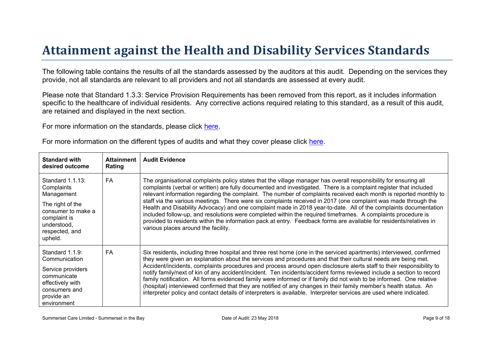# Attainment against the Health and Disability Ser vices Standar ds

The following table contains the results of all the standards assessed by the auditors at this audit. Depending on the services they provide, not all standards are relevant to all providers and not all standards are assessed at every audit.

Please note that Standard 1.3.3: Service Provision Requirements has been removed from this report, as it includes information specific to the healthcare of individual residents. Any corrective actions required relating to this standard, as a result of this audit, are retained and displayed in the next section.

For more information on the standards, please click [here](http://www.health.govt.nz/our-work/regulation-health-and-disability-system/certification-health-care-services/health-and-disability-services-standards).

| For more information on the different types of audits and what they cover please click here. |  |  |  |  |
|----------------------------------------------------------------------------------------------|--|--|--|--|
|----------------------------------------------------------------------------------------------|--|--|--|--|

| Standard with<br>desired outcome                                                                                                                   | Attainment<br>Rating | Audit Evidence                                                                                                                                                                                                                                                                                                                                                                                                                                                                                                                                                                                                                                                                                                                                                                                                                                                                 |
|----------------------------------------------------------------------------------------------------------------------------------------------------|----------------------|--------------------------------------------------------------------------------------------------------------------------------------------------------------------------------------------------------------------------------------------------------------------------------------------------------------------------------------------------------------------------------------------------------------------------------------------------------------------------------------------------------------------------------------------------------------------------------------------------------------------------------------------------------------------------------------------------------------------------------------------------------------------------------------------------------------------------------------------------------------------------------|
| Standard 1.1.13:<br>Complaints<br>Management<br>The right of the<br>consumer to make a<br>complaint is<br>understood,<br>respected, and<br>upheld. | <b>FA</b>            | The organisational complaints policy states that the village manager has overall responsibility for ensuring all<br>complaints (verbal or written) are fully documented and investigated. There is a complaint register that included<br>relevant information regarding the complaint. The number of complaints received each month is reported monthly to<br>staff via the various meetings. There were six complaints received in 2017 (one complaint was made through the<br>Health and Disability Advocacy) and one complaint made in 2018 year-to-date. All of the complaints documentation<br>included follow-up, and resolutions were completed within the required timeframes. A complaints procedure is<br>provided to residents within the information pack at entry. Feedback forms are available for residents/relatives in<br>various places around the facility. |
| Standard 1.1.9:<br>Communication<br>Service providers<br>communicate<br>effectively with<br>consumers and<br>provide an<br>environment             | FA                   | Six residents, including three hospital and three rest home (one in the serviced apartments) interviewed, confirmed<br>they were given an explanation about the services and procedures and that their cultural needs are being met.<br>Accident/incidents, complaints procedures and process around open disclosure alerts staff to their responsibility to<br>notify family/next of kin of any accident/incident. Ten incidents/accident forms reviewed include a section to record<br>family notification. All forms evidenced family were informed or if family did not wish to be informed. One relative<br>(hospital) interviewed confirmed that they are notified of any changes in their family member's health status. An<br>interpreter policy and contact details of interpreters is available. Interpreter services are used where indicated.                      |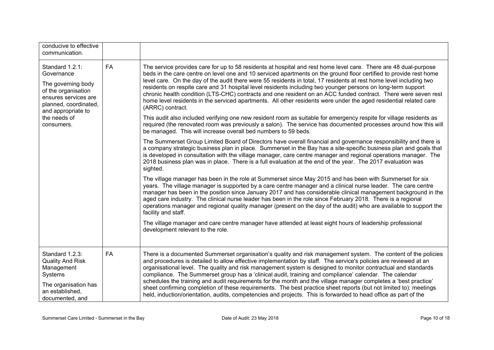| conducive to effective<br>communication.                                                                                                                                        |           |                                                                                                                                                                                                                                                                                                                                                                                                                                                                                                                                                                                                                                                                                                                                                                                                                                                                                                                                                                                    |
|---------------------------------------------------------------------------------------------------------------------------------------------------------------------------------|-----------|------------------------------------------------------------------------------------------------------------------------------------------------------------------------------------------------------------------------------------------------------------------------------------------------------------------------------------------------------------------------------------------------------------------------------------------------------------------------------------------------------------------------------------------------------------------------------------------------------------------------------------------------------------------------------------------------------------------------------------------------------------------------------------------------------------------------------------------------------------------------------------------------------------------------------------------------------------------------------------|
| Standard 1.2.1:<br>Governance<br>The governing body<br>of the organisation<br>ensures services are<br>planned, coordinated,<br>and appropriate to<br>the needs of<br>consumers. | <b>FA</b> | The service provides care for up to 58 residents at hospital and rest home level care. There are 48 dual-purpose<br>beds in the care centre on level one and 10 serviced apartments on the ground floor certified to provide rest home<br>level care. On the day of the audit there were 55 residents in total, 17 residents at rest home level including two<br>residents on respite care and 31 hospital level residents including two younger persons on long-term support<br>chronic health condition (LTS-CHC) contracts and one resident on an ACC funded contract. There were seven rest<br>home level residents in the serviced apartments. All other residents were under the aged residential related care<br>(ARRC) contract.<br>This audit also included verifying one new resident room as suitable for emergency respite for village residents as<br>required (the renovated room was previously a salon). The service has documented processes around how this will |
|                                                                                                                                                                                 |           | be managed. This will increase overall bed numbers to 59 beds.<br>The Summerset Group Limited Board of Directors have overall financial and governance responsibility and there is<br>a company strategic business plan in place. Summerset in the Bay has a site-specific business plan and goals that<br>is developed in consultation with the village manager, care centre manager and regional operations manager. The<br>2018 business plan was in place. There is a full evaluation at the end of the year. The 2017 evaluation was<br>sighted.                                                                                                                                                                                                                                                                                                                                                                                                                              |
|                                                                                                                                                                                 |           | The village manager has been in the role at Summerset since May 2015 and has been with Summerset for six<br>years. The village manager is supported by a care centre manager and a clinical nurse leader. The care centre<br>manager has been in the position since January 2017 and has considerable clinical management background in the<br>aged care industry. The clinical nurse leader has been in the role since February 2018. There is a regional<br>operations manager and regional quality manager (present on the day of the audit) who are available to support the<br>facility and staff.                                                                                                                                                                                                                                                                                                                                                                            |
|                                                                                                                                                                                 |           | The village manager and care centre manager have attended at least eight hours of leadership professional<br>development relevant to the role.                                                                                                                                                                                                                                                                                                                                                                                                                                                                                                                                                                                                                                                                                                                                                                                                                                     |
| Standard 1.2.3:<br><b>Quality And Risk</b><br>Management<br>Systems<br>The organisation has<br>an established,<br>documented, and                                               | <b>FA</b> | There is a documented Summerset organisation's quality and risk management system. The content of the policies<br>and procedures is detailed to allow effective implementation by staff. The service's policies are reviewed at an<br>organisational level. The quality and risk management system is designed to monitor contractual and standards<br>compliance. The Summerset group has a 'clinical audit, training and compliance' calendar. The calendar<br>schedules the training and audit requirements for the month and the village manager completes a 'best practice'<br>sheet confirming completion of these requirements. The best practice sheet reports (but not limited to): meetings<br>held, induction/orientation, audits, competencies and projects. This is forwarded to head office as part of the                                                                                                                                                           |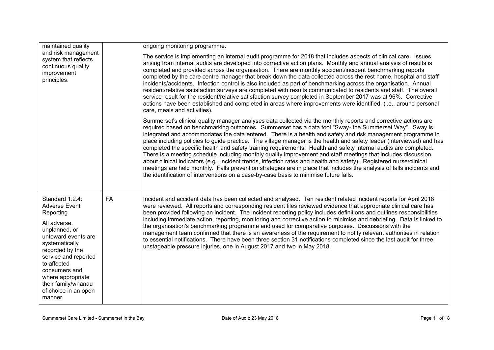| maintained quality<br>and risk management<br>system that reflects<br>continuous quality<br>improvement<br>principles.                                                                                                                                                                    |           | ongoing monitoring programme.                                                                                                                                                                                                                                                                                                                                                                                                                                                                                                                                                                                                                                                                                                                                                                                                                                                                                                                                                                                                                  |  |  |
|------------------------------------------------------------------------------------------------------------------------------------------------------------------------------------------------------------------------------------------------------------------------------------------|-----------|------------------------------------------------------------------------------------------------------------------------------------------------------------------------------------------------------------------------------------------------------------------------------------------------------------------------------------------------------------------------------------------------------------------------------------------------------------------------------------------------------------------------------------------------------------------------------------------------------------------------------------------------------------------------------------------------------------------------------------------------------------------------------------------------------------------------------------------------------------------------------------------------------------------------------------------------------------------------------------------------------------------------------------------------|--|--|
|                                                                                                                                                                                                                                                                                          |           | The service is implementing an internal audit programme for 2018 that includes aspects of clinical care. Issues<br>arising from internal audits are developed into corrective action plans. Monthly and annual analysis of results is<br>completed and provided across the organisation. There are monthly accident/incident benchmarking reports<br>completed by the care centre manager that break down the data collected across the rest home, hospital and staff<br>incidents/accidents. Infection control is also included as part of benchmarking across the organisation. Annual<br>resident/relative satisfaction surveys are completed with results communicated to residents and staff. The overall<br>service result for the resident/relative satisfaction survey completed in September 2017 was at 96%. Corrective<br>actions have been established and completed in areas where improvements were identified, (i.e., around personal<br>care, meals and activities).                                                           |  |  |
|                                                                                                                                                                                                                                                                                          |           | Summerset's clinical quality manager analyses data collected via the monthly reports and corrective actions are<br>required based on benchmarking outcomes. Summerset has a data tool "Sway- the Summerset Way". Sway is<br>integrated and accommodates the data entered. There is a health and safety and risk management programme in<br>place including policies to guide practice. The village manager is the health and safety leader (interviewed) and has<br>completed the specific health and safety training requirements. Health and safety internal audits are completed.<br>There is a meeting schedule including monthly quality improvement and staff meetings that includes discussion<br>about clinical indicators (e.g., incident trends, infection rates and health and safety). Registered nurse/clinical<br>meetings are held monthly. Falls prevention strategies are in place that includes the analysis of falls incidents and<br>the identification of interventions on a case-by-case basis to minimise future falls. |  |  |
| Standard 1.2.4:<br><b>Adverse Event</b><br>Reporting<br>All adverse,<br>unplanned, or<br>untoward events are<br>systematically<br>recorded by the<br>service and reported<br>to affected<br>consumers and<br>where appropriate<br>their family/whānau<br>of choice in an open<br>manner. | <b>FA</b> | Incident and accident data has been collected and analysed. Ten resident related incident reports for April 2018<br>were reviewed. All reports and corresponding resident files reviewed evidence that appropriate clinical care has<br>been provided following an incident. The incident reporting policy includes definitions and outlines responsibilities<br>including immediate action, reporting, monitoring and corrective action to minimise and debriefing. Data is linked to<br>the organisation's benchmarking programme and used for comparative purposes. Discussions with the<br>management team confirmed that there is an awareness of the requirement to notify relevant authorities in relation<br>to essential notifications. There have been three section 31 notifications completed since the last audit for three<br>unstageable pressure injuries, one in August 2017 and two in May 2018.                                                                                                                             |  |  |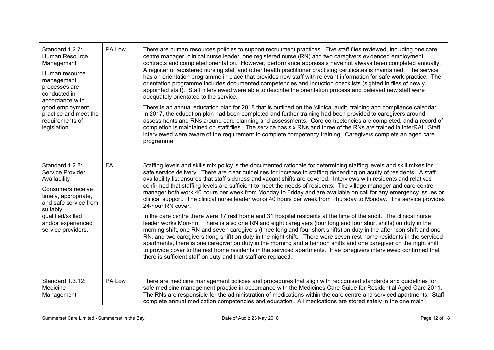| Standard 1.2.7:<br>Human Resource<br>Management<br>Human resource<br>management<br>processes are<br>conducted in<br>accordance with<br>good employment<br>practice and meet the<br>requirements of<br>legislation. | PA Low | There are human resources policies to support recruitment practices. Five staff files reviewed, including one care<br>centre manager, clinical nurse leader, one registered nurse (RN) and two caregivers evidenced employment<br>contracts and completed orientation. However, performance appraisals have not always been completed annually.<br>A register of registered nursing staff and other health practitioner practising certificates is maintained. The service<br>has an orientation programme in place that provides new staff with relevant information for safe work practice. The<br>orientation programme includes documented competencies and induction checklists (sighted in files of newly<br>appointed staff). Staff interviewed were able to describe the orientation process and believed new staff were<br>adequately orientated to the service.<br>There is an annual education plan for 2018 that is outlined on the 'clinical audit, training and compliance calendar'.<br>In 2017, the education plan had been completed and further training had been provided to caregivers around<br>assessments and RNs around care planning and assessments. Core competencies are completed, and a record of<br>completion is maintained on staff files. The service has six RNs and three of the RNs are trained in interRAI. Staff<br>interviewed were aware of the requirement to complete competency training. Caregivers complete an aged care<br>programme.                                                                            |
|--------------------------------------------------------------------------------------------------------------------------------------------------------------------------------------------------------------------|--------|-----------------------------------------------------------------------------------------------------------------------------------------------------------------------------------------------------------------------------------------------------------------------------------------------------------------------------------------------------------------------------------------------------------------------------------------------------------------------------------------------------------------------------------------------------------------------------------------------------------------------------------------------------------------------------------------------------------------------------------------------------------------------------------------------------------------------------------------------------------------------------------------------------------------------------------------------------------------------------------------------------------------------------------------------------------------------------------------------------------------------------------------------------------------------------------------------------------------------------------------------------------------------------------------------------------------------------------------------------------------------------------------------------------------------------------------------------------------------------------------------------------------------------------------------------------------|
| Standard 1.2.8:<br>Service Provider<br>Availability<br>Consumers receive<br>timely, appropriate,<br>and safe service from<br>suitably<br>qualified/skilled<br>and/or experienced<br>service providers.             | FA     | Staffing levels and skills mix policy is the documented rationale for determining staffing levels and skill mixes for<br>safe service delivery. There are clear guidelines for increase in staffing depending on acuity of residents. A staff<br>availability list ensures that staff sickness and vacant shifts are covered. Interviews with residents and relatives<br>confirmed that staffing levels are sufficient to meet the needs of residents. The village manager and care centre<br>manager both work 40 hours per week from Monday to Friday and are available on call for any emergency issues or<br>clinical support. The clinical nurse leader works 40 hours per week from Thursday to Monday. The service provides<br>24-hour RN cover.<br>In the care centre there were 17 rest home and 31 hospital residents at the time of the audit. The clinical nurse<br>leader works Mon-Fri. There is also one RN and eight caregivers (four long and four short shifts) on duty in the<br>morning shift, one RN and seven caregivers (three long and four short shifts) on duty in the afternoon shift and one<br>RN, and two caregivers (long shift) on duty in the night shift. There were seven rest home residents in the serviced<br>apartments, there is one caregiver on duty in the morning and afternoon shifts and one caregiver on the night shift<br>to provide cover to the rest home residents in the serviced apartments. Five caregivers interviewed confirmed that<br>there is sufficient staff on duty and that staff are replaced. |
| Standard 1.3.12:<br>Medicine<br>Management                                                                                                                                                                         | PA Low | There are medicine management policies and procedures that align with recognised standards and guidelines for<br>safe medicine management practice in accordance with the Medicines Care Guide for Residential Aged Care 2011.<br>The RNs are responsible for the administration of medications within the care centre and serviced apartments. Staff<br>complete annual medication competencies and education. All medications are stored safely in the one main                                                                                                                                                                                                                                                                                                                                                                                                                                                                                                                                                                                                                                                                                                                                                                                                                                                                                                                                                                                                                                                                                               |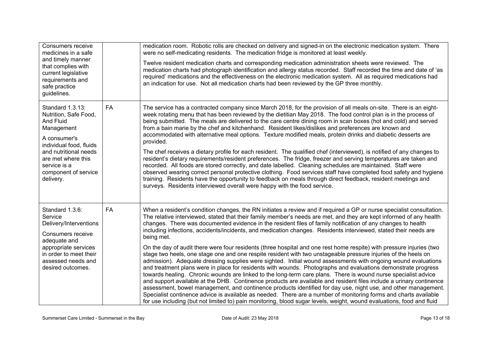| Consumers receive<br>medicines in a safe<br>and timely manner<br>that complies with<br>current legislative<br>requirements and<br>safe practice<br>guidelines.                                                      |           | medication room. Robotic rolls are checked on delivery and signed-in on the electronic medication system. There<br>were no self-medicating residents. The medication fridge is monitored at least weekly.<br>Twelve resident medication charts and corresponding medication administration sheets were reviewed. The<br>medication charts had photograph identification and allergy status recorded. Staff recorded the time and date of 'as<br>required' medications and the effectiveness on the electronic medication system. All as required medications had<br>an indication for use. Not all medication charts had been reviewed by the GP three monthly.                                                                                                                                                                                                                                                                                                                                                                                                                                                                                                                                                                                                                                                                                                                                                                                                                                                                                                                    |
|---------------------------------------------------------------------------------------------------------------------------------------------------------------------------------------------------------------------|-----------|------------------------------------------------------------------------------------------------------------------------------------------------------------------------------------------------------------------------------------------------------------------------------------------------------------------------------------------------------------------------------------------------------------------------------------------------------------------------------------------------------------------------------------------------------------------------------------------------------------------------------------------------------------------------------------------------------------------------------------------------------------------------------------------------------------------------------------------------------------------------------------------------------------------------------------------------------------------------------------------------------------------------------------------------------------------------------------------------------------------------------------------------------------------------------------------------------------------------------------------------------------------------------------------------------------------------------------------------------------------------------------------------------------------------------------------------------------------------------------------------------------------------------------------------------------------------------------|
| Standard 1.3.13:<br>Nutrition, Safe Food,<br>And Fluid<br>Management<br>A consumer's<br>individual food, fluids<br>and nutritional needs<br>are met where this<br>service is a<br>component of service<br>delivery. | <b>FA</b> | The service has a contracted company since March 2018, for the provision of all meals on-site. There is an eight-<br>week rotating menu that has been reviewed by the dietitian May 2018. The food control plan is in the process of<br>being submitted. The meals are delivered to the care centre dining room in scan boxes (hot and cold) and served<br>from a bain marie by the chef and kitchenhand. Resident likes/dislikes and preferences are known and<br>accommodated with alternative meal options. Texture modified meals, protein drinks and diabetic desserts are<br>provided.<br>The chef receives a dietary profile for each resident. The qualified chef (interviewed), is notified of any changes to<br>resident's dietary requirements/resident preferences. The fridge, freezer and serving temperatures are taken and<br>recorded. All foods are stored correctly, and date labelled. Cleaning schedules are maintained. Staff were<br>observed wearing correct personal protective clothing. Food services staff have completed food safety and hygiene<br>training. Residents have the opportunity to feedback on meals through direct feedback, resident meetings and<br>surveys. Residents interviewed overall were happy with the food service.                                                                                                                                                                                                                                                                                                          |
| Standard 1.3.6:<br>Service<br>Delivery/Interventions<br>Consumers receive<br>adequate and<br>appropriate services<br>in order to meet their<br>assessed needs and<br>desired outcomes.                              | <b>FA</b> | When a resident's condition changes, the RN initiates a review and if required a GP or nurse specialist consultation.<br>The relative interviewed, stated that their family member's needs are met, and they are kept informed of any health<br>changes. There was documented evidence in the resident files of family notification of any changes to health<br>including infections, accidents/incidents, and medication changes. Residents interviewed, stated their needs are<br>being met.<br>On the day of audit there were four residents (three hospital and one rest home respite) with pressure injuries (two<br>stage two heels, one stage one and one respite resident with two unstageable pressure injuries of the heels on<br>admission). Adequate dressing supplies were sighted. Initial wound assessments with ongoing wound evaluations<br>and treatment plans were in place for residents with wounds. Photographs and evaluations demonstrate progress<br>towards healing. Chronic wounds are linked to the long-term care plans. There is wound nurse specialist advice<br>and support available at the DHB. Continence products are available and resident files include a urinary continence<br>assessment, bowel management, and continence products identified for day use, night use, and other management.<br>Specialist continence advice is available as needed. There are a number of monitoring forms and charts available<br>for use including (but not limited to) pain monitoring, blood sugar levels, weight, wound evaluations, food and fluid |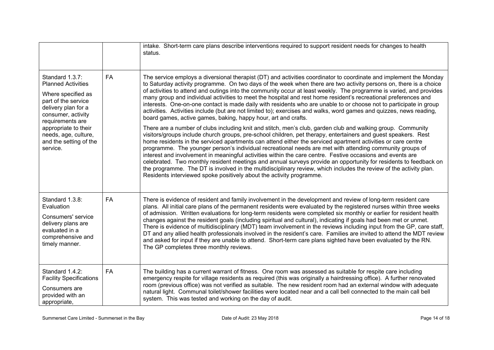|                                                                                                                                                                                                                                                  |           | intake. Short-term care plans describe interventions required to support resident needs for changes to health<br>status.                                                                                                                                                                                                                                                                                                                                                                                                                                                                                                                                                                                                                                                                                                                                                                                        |
|--------------------------------------------------------------------------------------------------------------------------------------------------------------------------------------------------------------------------------------------------|-----------|-----------------------------------------------------------------------------------------------------------------------------------------------------------------------------------------------------------------------------------------------------------------------------------------------------------------------------------------------------------------------------------------------------------------------------------------------------------------------------------------------------------------------------------------------------------------------------------------------------------------------------------------------------------------------------------------------------------------------------------------------------------------------------------------------------------------------------------------------------------------------------------------------------------------|
| Standard 1.3.7:<br><b>Planned Activities</b><br>Where specified as<br>part of the service<br>delivery plan for a<br>consumer, activity<br>requirements are<br>appropriate to their<br>needs, age, culture,<br>and the setting of the<br>service. | <b>FA</b> | The service employs a diversional therapist (DT) and activities coordinator to coordinate and implement the Monday<br>to Saturday activity programme. On two days of the week when there are two activity persons on, there is a choice<br>of activities to attend and outings into the community occur at least weekly. The programme is varied, and provides<br>many group and individual activities to meet the hospital and rest home resident's recreational preferences and<br>interests. One-on-one contact is made daily with residents who are unable to or choose not to participate in group<br>activities. Activities include (but are not limited to); exercises and walks, word games and quizzes, news reading,<br>board games, active games, baking, happy hour, art and crafts.<br>There are a number of clubs including knit and stitch, men's club, garden club and walking group. Community |
|                                                                                                                                                                                                                                                  |           | visitors/groups include church groups, pre-school children, pet therapy, entertainers and guest speakers. Rest<br>home residents in the serviced apartments can attend either the serviced apartment activities or care centre<br>programme. The younger person's individual recreational needs are met with attending community groups of<br>interest and involvement in meaningful activities within the care centre. Festive occasions and events are<br>celebrated. Two monthly resident meetings and annual surveys provide an opportunity for residents to feedback on<br>the programme. The DT is involved in the multidisciplinary review, which includes the review of the activity plan.<br>Residents interviewed spoke positively about the activity programme.                                                                                                                                      |
| Standard 1.3.8:<br>Evaluation<br>Consumers' service<br>delivery plans are<br>evaluated in a<br>comprehensive and<br>timely manner.                                                                                                               | <b>FA</b> | There is evidence of resident and family involvement in the development and review of long-term resident care<br>plans. All initial care plans of the permanent residents were evaluated by the registered nurses within three weeks<br>of admission. Written evaluations for long-term residents were completed six monthly or earlier for resident health<br>changes against the resident goals (including spiritual and cultural), indicating if goals had been met or unmet.<br>There is evidence of multidisciplinary (MDT) team involvement in the reviews including input from the GP, care staff,<br>DT and any allied health professionals involved in the resident's care. Families are invited to attend the MDT review<br>and asked for input if they are unable to attend. Short-term care plans sighted have been evaluated by the RN.<br>The GP completes three monthly reviews.                 |
| Standard 1.4.2:<br><b>Facility Specifications</b><br>Consumers are<br>provided with an<br>appropriate,                                                                                                                                           | <b>FA</b> | The building has a current warrant of fitness. One room was assessed as suitable for respite care including<br>emergency respite for village residents as required (this was originally a hairdressing office). A further renovated<br>room (previous office) was not verified as suitable. The new resident room had an external window with adequate<br>natural light. Communal toilet/shower facilities were located near and a call bell connected to the main call bell<br>system. This was tested and working on the day of audit.                                                                                                                                                                                                                                                                                                                                                                        |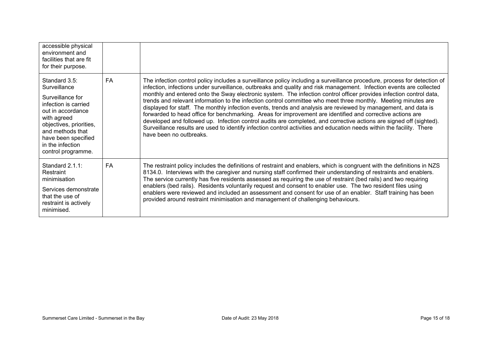| accessible physical<br>environment and<br>facilities that are fit<br>for their purpose.                                                                                                                                       |           |                                                                                                                                                                                                                                                                                                                                                                                                                                                                                                                                                                                                                                                                                                                                                                                                                                                                                                                                                                                                     |
|-------------------------------------------------------------------------------------------------------------------------------------------------------------------------------------------------------------------------------|-----------|-----------------------------------------------------------------------------------------------------------------------------------------------------------------------------------------------------------------------------------------------------------------------------------------------------------------------------------------------------------------------------------------------------------------------------------------------------------------------------------------------------------------------------------------------------------------------------------------------------------------------------------------------------------------------------------------------------------------------------------------------------------------------------------------------------------------------------------------------------------------------------------------------------------------------------------------------------------------------------------------------------|
| Standard 3.5:<br>Surveillance<br>Surveillance for<br>infection is carried<br>out in accordance<br>with agreed<br>objectives, priorities,<br>and methods that<br>have been specified<br>in the infection<br>control programme. | <b>FA</b> | The infection control policy includes a surveillance policy including a surveillance procedure, process for detection of<br>infection, infections under surveillance, outbreaks and quality and risk management. Infection events are collected<br>monthly and entered onto the Sway electronic system. The infection control officer provides infection control data,<br>trends and relevant information to the infection control committee who meet three monthly. Meeting minutes are<br>displayed for staff. The monthly infection events, trends and analysis are reviewed by management, and data is<br>forwarded to head office for benchmarking. Areas for improvement are identified and corrective actions are<br>developed and followed up. Infection control audits are completed, and corrective actions are signed off (sighted).<br>Surveillance results are used to identify infection control activities and education needs within the facility. There<br>have been no outbreaks. |
| Standard $2.1.1$ :<br>Restraint<br>minimisation<br>Services demonstrate<br>that the use of<br>restraint is actively<br>minimised.                                                                                             | <b>FA</b> | The restraint policy includes the definitions of restraint and enablers, which is congruent with the definitions in NZS<br>8134.0. Interviews with the caregiver and nursing staff confirmed their understanding of restraints and enablers.<br>The service currently has five residents assessed as requiring the use of restraint (bed rails) and two requiring<br>enablers (bed rails). Residents voluntarily request and consent to enabler use. The two resident files using<br>enablers were reviewed and included an assessment and consent for use of an enabler. Staff training has been<br>provided around restraint minimisation and management of challenging behaviours.                                                                                                                                                                                                                                                                                                               |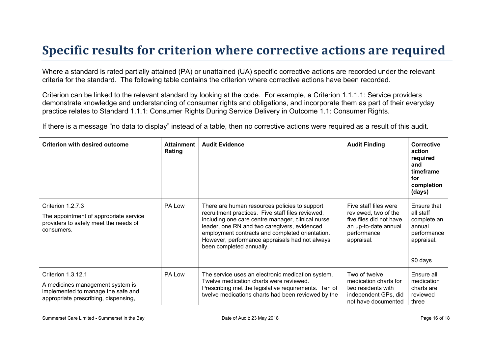### **Specific results for criterion where corrective actions are required**

Where a standard is rated partially attained (PA) or unattained (UA) specific corrective actions are recorded under the relevant criteria for the standard. The following table contains the criterion where corrective actions have been recorded.

Criterion can be linked to the relevant standard by looking at the code. For example, a Criterion 1.1.1.1: Service providers demonstrate knowledge and understanding of consumer rights and obligations, and incorporate them as part of their everyday practice relates to Standard 1.1.1: Consumer Rights During Service Delivery in Outcome 1.1: Consumer Rights.

If there is a message "no data to display" instead of a table, then no corrective actions were required as a result of this audit.

| <b>Criterion with desired outcome</b>                                                                                                | <b>Attainment</b><br>Rating | <b>Audit Evidence</b>                                                                                                                                                                                                                                                                                                                    | <b>Audit Finding</b>                                                                                                          | Corrective<br>action<br>required<br>and<br>timeframe<br>for<br>completion<br>(days)       |
|--------------------------------------------------------------------------------------------------------------------------------------|-----------------------------|------------------------------------------------------------------------------------------------------------------------------------------------------------------------------------------------------------------------------------------------------------------------------------------------------------------------------------------|-------------------------------------------------------------------------------------------------------------------------------|-------------------------------------------------------------------------------------------|
| Criterion 1.2.7.3<br>The appointment of appropriate service<br>providers to safely meet the needs of<br>consumers.                   | PA Low                      | There are human resources policies to support<br>recruitment practices. Five staff files reviewed,<br>including one care centre manager, clinical nurse<br>leader, one RN and two caregivers, evidenced<br>employment contracts and completed orientation.<br>However, performance appraisals had not always<br>been completed annually. | Five staff files were<br>reviewed, two of the<br>five files did not have<br>an up-to-date annual<br>performance<br>appraisal. | Ensure that<br>all staff<br>complete an<br>annual<br>performance<br>appraisal.<br>90 days |
| Criterion 1.3.12.1<br>A medicines management system is<br>implemented to manage the safe and<br>appropriate prescribing, dispensing, | PA Low                      | The service uses an electronic medication system.<br>Twelve medication charts were reviewed.<br>Prescribing met the legislative requirements. Ten of<br>twelve medications charts had been reviewed by the                                                                                                                               | Two of twelve<br>medication charts for<br>two residents with<br>independent GPs, did<br>not have documented                   | Ensure all<br>medication<br>charts are<br>reviewed<br>three                               |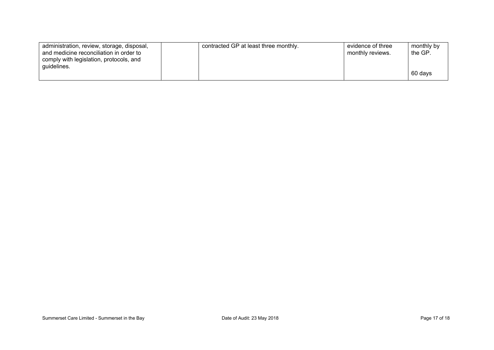| administration, review, storage, disposal,<br>and medicine reconciliation in order to<br>comply with legislation, protocols, and | contracted GP at least three monthly. | evidence of three<br>monthly reviews. | monthly by<br>the GP. |
|----------------------------------------------------------------------------------------------------------------------------------|---------------------------------------|---------------------------------------|-----------------------|
| guidelines.                                                                                                                      |                                       |                                       | 60 days               |